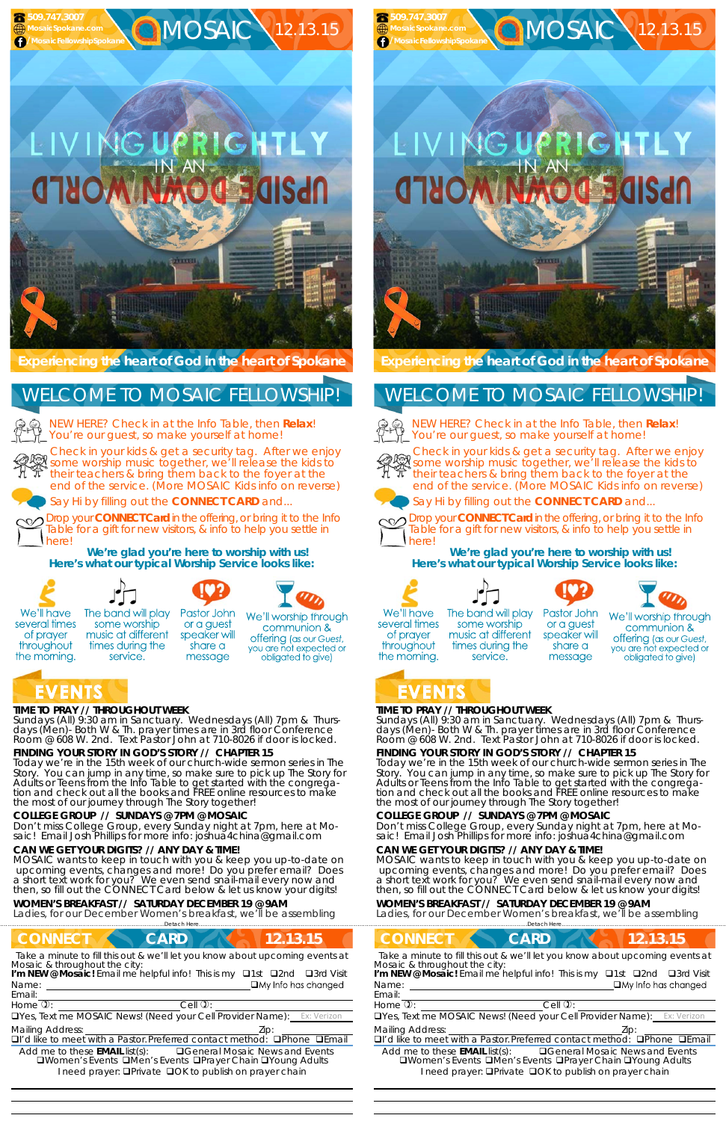## EVENTS **TIME TO PRAY // THROUGHOUT WEEK**

*Sundays* (All) 9:30 am in Sanctuary. *Wednesdays* (All) 7pm & *Thursdays* (Men)- Both W & Th. prayer times are in 3rd floor Conference Room @ 608 W. 2nd. Text Pastor John at 710-8026 if door is locked.

# **FINDING YOUR STORY IN GOD'S STORY // CHAPTER 15**

service.

Today we're in the 15th week of our church-wide sermon series in The Story. You can jump in any time, so make sure to pick up The Story for Adults or Teens from the Info Table to get started with the congregation and check out all the books and FREE online resources to make the most of our journey through The Story together!

# **COLLEGE GROUP // SUNDAYS @ 7PM @ MOSAIC**

NEW HERE? Check in at the Info Table, then **Relax**! You're our guest, so make yourself at home!

Don't miss College Group, every Sunday night at 7pm, here at Mosaic! Email Josh Phillips for more info: joshua4china@gmail.com



**C MOSAIC 12.13.15** 

#### **CAN WE GET YOUR DIGITS? // ANY DAY & TIME!**

MOSAIC wants to keep in touch with you & keep you up-to-date on upcoming events, changes and more! Do you prefer email? Does a short text work for you? We even send snail-mail every now and then, so fill out the CONNECT Card below & let us know your digits!

**CONNECT CARD 12.13.15** *Take a minute to fill this out & we'll let you know about upcoming events at*

Name: *Mosaic & throughout the city:*  **I'm NEW @ Mosaic!** Email me helpful info! This is my □1st □2nd □3rd Visit

#### **WOMEN'S BREAKFAST // SATURDAY DECEMBER 19 @ 9AM**

Ladies, for our December Women's breakfast, we'll be assembling

……………………….……………………………………………………….Detach Here……………………………………………..…………………………………

*Sundays* (All) 9:30 am in Sanctuary. *Wednesdays* (All) 7pm & *Thursdays* (Men)- Both W & Th. prayer times are in 3rd floor Conference Room @ 608 W. 2nd. Text Pastor John at 710-8026 if door is locked.

**Experiencing the heart of God in the heart of Spokane** 

Check in your kids & get a security tag. After we enjoy **Shock in your kids a got a security tag.** After we enjoy their teachers & bring them back to the foyer at the end of the service. (More MOSAIC Kids info on reverse)



# **JG UPRIGHTL**



Say Hi by filling out the **CONNECT CARD** and...

Drop your **CONNECT Card** in the offering, or bring it to the Info Table for a gift for new visitors, & info to help you settle in here!

**We're glad you're here to worship with us! Here's what our typical Worship Service looks like:** 



several times

of prayer

throughout

the morning.







Pastor John or a guest speaker will share a message

We'll worship through communion & **offering** (as our Guest, you are not expected or obligated to give)

NEW HERE? Check in at the Info Table, then **Relax**! You're our guest, so make yourself at home!



# WELCOME TO MOSAIC FELLOWSHIP!



Email:

Drop your **CONNECT Card** in the offering, or bring it to the Info Table for a gift for new visitors, & info to help you settle in herel

 

Home  $\mathbb{D}$ :  $\qquad \qquad$  Cell  $\mathbb{D}$ :

UYes, Text me MOSAIC News! (Need your Cell Provider Name):

Mailing Address:  $\qquad \qquad$  Zip:

 $\Box$ I'd like to meet with a Pastor. Preferred contact method:  $\Box$ Phone  $\Box$ Email

Add me to these **EMAIL** list(s): General Mosaic News and Events **QWomen's Events QMen's Events QPrayer Chain QYoung Adults** I need prayer: **QPrivate QOK to publish on prayer chain** 

# **TIME TO PRAY // THROUGHOUT WEEK**

# **FINDING YOUR STORY IN GOD'S STORY // CHAPTER 15**

Today we're in the 15th week of our church-wide sermon series in The Story. You can jump in any time, so make sure to pick up The Story for Adults or Teens from the Info Table to get started with the congregation and check out all the books and FREE online resources to make the most of our journey through The Story together!

# **COLLEGE GROUP // SUNDAYS @ 7PM @ MOSAIC**

Don't miss College Group, every Sunday night at 7pm, here at Mosaic! Email Josh Phillips for more info: joshua4china@gmail.com

## **CAN WE GET YOUR DIGITS? // ANY DAY & TIME!**

MOSAIC wants to keep in touch with you & keep you up-to-date on upcoming events, changes and more! Do you prefer email? Does a short text work for you? We even send snail-mail every now and then, so fill out the CONNECT Card below & let us know your digits!

#### **WOMEN'S BREAKFAST // SATURDAY DECEMBER 19 @ 9AM**

Ladies, for our December Women's breakfast, we'll be assembling

……………………….……………………………………………………….Detach Here……………………………………………..…………………………………

#### **CONNECT CARD 12.13.15** *Take a minute to fill this out & we'll let you know about upcoming events at* Name: Email: Home  $\mathbb{D}$ :  $\qquad \qquad$  Cell  $\mathbb{D}$ : UYes, Text me MOSAIC News! (Need your Cell Provider Name): Mailing Address: The Mailing Address: The Mailing Address: The Mailing Address: The Mailing Address: The Mailing Address: The Mailing Address: The Mailing Address: The Mailing Address: The Mailing Address: The Mailing Addr  $\Box$ I'd like to meet with a Pastor. Preferred contact method:  $\Box$ Phone  $\Box$ Email Add me to these **EMAIL** list(s): General Mosaic News and Events **QWomen's Events QMen's Events QPrayer Chain QYoung Adults** I need prayer: **QPrivate QOK to publish on prayer chain** *Mosaic & throughout the city:*  **I'm NEW @ Mosaic!** Email me helpful info! This is my □1st □2nd □3rd Visit



et execu

Check in your kids & get a security tag. After we enjoy some worship music together, we'll release the kids to their teachers & bring them back to the foyer at the end of the service. (More MOSAIC Kids info on reverse)



Say Hi by filling out the **CONNECT CARD** and...



**We're glad you're here to worship with us! Here's what our typical Worship Service looks like:** 









We'll have several times of prayer throughout the morning.

 **509.747.3007 MosaicSpokane.com /MosaicFellowshipSpokane**

# WELCOME TO MOSAIC FELLOWSHIP!



  The band will play some worship music at different times during the service.

Pastor John or a guest speaker will share a message

We'll worship through communion & **offering** (as our Guest, you are not expected or obligated to give)

# ZENTS